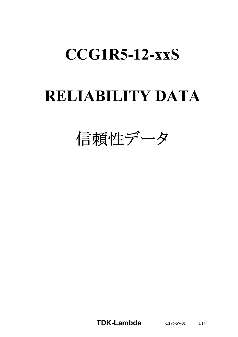# **CCG1R5-12-xxS**

# **RELIABILITY DATA**

信頼性データ

**TDK-Lambda C286-57-01** 1/14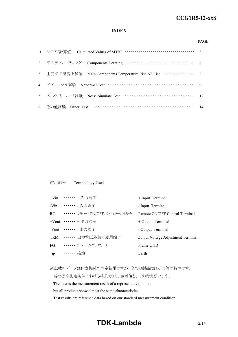#### **INDEX**

#### PAGE

| 3. 主要部品温度上昇值 Main Components Temperature Rise $\Delta T$ List ··············· 8 |                |
|---------------------------------------------------------------------------------|----------------|
| 4. アブノーマル試験 Abnormal Test …………………………………………………… 9                                |                |
| 5. ノイズシミュレート試験 Noise Simulate Test ……………………………………                               | $\frac{12}{2}$ |
| 6. その他試験 Other Test ……………………………………………………… 14                                    |                |

使用記号 Terminology Used

|       | +Vin …… + 入力端子                 | + Input Terminal                   |
|-------|--------------------------------|------------------------------------|
|       | -Vin ……… 入力端子                  | - Input Terminal                   |
|       | RC •・・・・・・・ リモートON/OFFコントロール端子 | Remote ON/OFF Control Terminal     |
|       | +Vout …… + 出力端子                | $+$ Output Terminal                |
|       | -Vout ……… 出力端子                 | - Output Terminal                  |
|       | TRM …… 出力電圧外部可変用端子             | Output Voltage Adjustment Terminal |
|       | FG …… フレームグラウンド                | Frame GND                          |
| $\pm$ | . 接地                           | Earth                              |
|       |                                |                                    |

※記載のデータは代表機種の測定結果ですが、全ての製品はほぼ同等の特性です。

当社標準測定条件における結果であり、参考値としてお考え願います。

The data is the measurement result of a representative model,

but all products show almost the same characteristics.

Test results are reference data based on our standard measurement condition.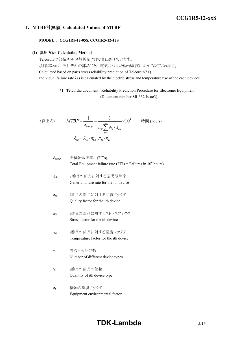#### **1. MTBF**計算値 **Calculated Values of MTBF**

**MODEL : CCG1R5-12-05S, CCG1R5-12-12S**

#### **(1)** 算出方法 **Calculating Method**

Telcordiaの部品ストレス解析法(\*1)で算出されています。 故障率λssは、それぞれの部品ごとに電気ストレスと動作温度によって決定されます。 Calculated based on parts stress reliability prediction of Telcordia(\*1). Individual failure rate λss is calculated by the electric stress and temperature rise of the each devices.

> \*1: Telcordia document "Reliability Prediction Procedure for Electronic Equipment" (Document number SR-332,Issue3)

$$
\langle \hat{\mathbf{g}} | \mathbf{H} \mathbf{x} \rangle \qquad MTBF = \frac{1}{\lambda_{equip}} = \frac{1}{\pi_E \sum_{i=1}^{m} N_i \cdot \lambda_{ssi}} \times 10^9 \qquad \text{iff } (\text{hours})
$$
\n
$$
\lambda_{ssi} = \lambda_{Gi} \cdot \pi_{Qi} \cdot \pi_{Si} \cdot \pi_{Ti}
$$

$$
\lambda_{\text{equip}} : \hat{\pm} \circledR \circledR \circledR \circledR
$$
\n
$$
\lambda_{\text{equip}}
$$
\n
$$
\therefore \quad \text{Total Equipment failure rate (FITs = Failure in 109 hours)}
$$

<sup>l</sup>*Gi* : i 番目の部品に対する基礎故障率 Generic failure rate for the ith device

- <sup>p</sup>*Qi* : i番目の部品に対する品質ファクタ Quality factor for the ith device
- <sup>p</sup>*Si* : i番目の部品に対するストレスファクタ Stress factor for the ith device
- <sup>p</sup>*Ti* : i番目の部品に対する温度ファクタ Temperature factor for the ith device
- *m* : 異なる部品の数 Number of different device types
- *Ni* : i番目の部品の個数 Quantity of ith device type
- <sup>p</sup>*<sup>E</sup>* : 機器の環境ファクタ Equipment environmental factor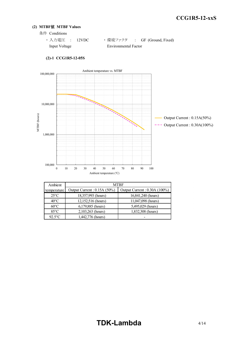#### **(2) MTBF**値 **MTBF Values**

- 条件 Conditions
	- · 入力電圧 : 12VDC ·環境ファクタ : GF (Ground, Fixed) Input Voltage Environmental Factor



#### **(2)-1 CCG1R5-12-05S**

| Ambient        |                             | <b>MTBF</b>                   |  |  |  |  |
|----------------|-----------------------------|-------------------------------|--|--|--|--|
| temperature    | Output Current: 0.15A (50%) | Output Current : 0.30A (100%) |  |  |  |  |
| $25^{\circ}$ C | 18,357,993 (hours)          | 16,841,240 (hours)            |  |  |  |  |
| $40^{\circ}$ C | 12,152,516 (hours)          | 11,047,098 (hours)            |  |  |  |  |
| $60^{\circ}$ C | 6,179,885 (hours)           | 5,495,029 (hours)             |  |  |  |  |
| $85^{\circ}$ C | 2,103,263 (hours)           | 1,832,308 (hours)             |  |  |  |  |
| $92.5$ °C      | 1,442,776 (hours)           |                               |  |  |  |  |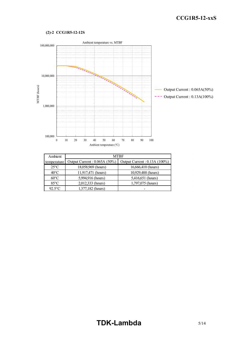#### **(2)-2 CCG1R5-12-12S**



| Ambient        |                              | <b>MTBF</b>                   |  |  |  |  |
|----------------|------------------------------|-------------------------------|--|--|--|--|
| temperature    | Output Current: 0.065A (50%) | Output Current : 0.13A (100%) |  |  |  |  |
| $25^{\circ}$ C | 18,058,969 (hours)           | 16,666,410 (hours)            |  |  |  |  |
| $40^{\circ}$ C | 11,917,471 (hours)           | 10,929,488 (hours)            |  |  |  |  |
| $60^{\circ}$ C | 5,994,916 (hours)            | 5,416,651 (hours)             |  |  |  |  |
| $85^{\circ}$ C | 2,012,333 (hours)            | 1,797,075 (hours)             |  |  |  |  |
| $92.5$ °C      | 1,377,182 (hours)            |                               |  |  |  |  |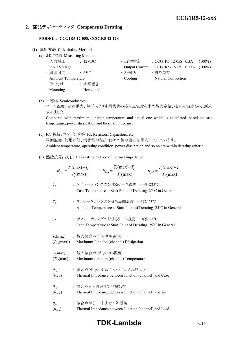## **2.** 部品ディレーティング **Components Derating**

**MODEL : CCG1R5-12-05S, CCG1R5-12-12S**

#### **(1)** 算出方法 **Calculating Method**

- (a) 測定方法 Measuring Method
	- ・ 入力電圧 : 12VDC ・ 出力電流 : CCG1R5-12-05S 0.3A (100%) Input Voltage Output Current CCG1R5-12-12S 0.13A (100%) • 周囲温度 : 85°C · 哈却法 : 自然空冷 Ambient Temperature Cooling Natural Convection ・ 取り付け : 水平置き Mounting Horizontal
- (b) 半導体 Semiconductors

ケース温度、消費電力、熱抵抗より使用状態の接合点温度を求め最大定格、接合点温度との比較を 求めました。

Compared with maximum junction temperature and actual one which is calculated based on case temperature, power dissipation and thermal impedance.

- (c) IC、抵抗、コンデンサ等 IC, Resistors, Capacitors, etc. 周囲温度、使用状態、消費電力など、個々の値は設計基準内に入っています。 Ambient temperature, operating condition, power dissipation and so on are within derating criteria.
- (d) 熱抵抗算出方法 Calculating method of thermal impedance

|                                     | $\theta_{j-a} = \frac{T_j(\text{max}) - T_a}{P_i(\text{max})}$ $\theta_{j-l} = \frac{T_j(\text{max}) - T_l}{P_i(\text{max})}$<br>$\theta_{j-c} = \frac{T_j(\text{max}) - T_c}{P_i(\text{max})}$ |
|-------------------------------------|-------------------------------------------------------------------------------------------------------------------------------------------------------------------------------------------------|
| $T_c$                               | : ディレーティングの始まるケース温度 一般に25℃<br>Case Temperature at Start Point of Derating; 25°C in General                                                                                                      |
| $T_a$                               | : ディレーティングの始まる周囲温度 一般に25℃<br>Ambient Temperature at Start Point of Derating; 25°C in General                                                                                                    |
| $T_{I}$                             | : ディレーティングの始まるリード温度 一般に25°C<br>Lead Temperature at Start Point of Derating; 25°C in General                                                                                                     |
| $(P_{ch}(\text{max}))$              | $P_i$ (max) : 最大接合点(チャネル)損失<br>Maximum Junction (channel) Dissipation                                                                                                                           |
| $(T_{ch}(\text{max}))$              | $T_i$ (max) : 最大接合点(チャネル)温度<br>Maximum Junction (channel) Temperature                                                                                                                           |
| $\theta_{i-c}$<br>$(\theta_{ch-c})$ | : 接合点(チャネル)からケースまでの熱抵抗<br>Thermal Impedance between Junction (channel) and Case                                                                                                                 |
| $\theta_{i-a}$<br>$(\theta_{ch-a})$ | : 接合点から周囲までの熱抵抗<br>Thermal Impedance between Junction (channel) and Air                                                                                                                         |
| $\theta_{i-l}$<br>$(\theta_{ch-l})$ | : 接合点からリードまでの熱抵抗<br>Thermal Impedance between Junction (channel) and Lead                                                                                                                       |

## **TDK-Lambda** 6/14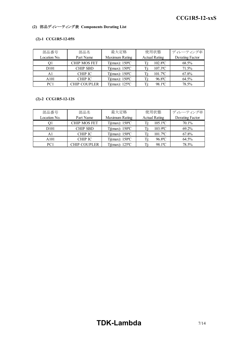### **(2)** 部品ディレーティング表 **Components Derating List**

#### **(2)-1 CCG1R5-12-05S**

| 部品番号              | 部品名                 | 最大定格                     | 使用状態                   | ディレーティング率       |
|-------------------|---------------------|--------------------------|------------------------|-----------------|
| Location No.      | Part Name           | Maximum Rating           | <b>Actual Rating</b>   | Derating Factor |
|                   | <b>CHIP MOS FET</b> | $Tj(max)$ : 150°C        | $102.8$ <sup>o</sup> C | 68.5%           |
| D <sub>10</sub> 1 | <b>CHIP SBD</b>     | $Tj(max)$ : 150 °C       | $107.3$ <sup>o</sup> C | 71.5%           |
| Al                | <b>CHIP IC</b>      | $Tj(max)$ : 150 °C       | $101.7$ <sup>o</sup> C | 67.8%           |
| A <sub>101</sub>  | <b>CHIP IC</b>      | $Tj(max)$ : 150 °C       | 96.8°C                 | 64.5%           |
| PC <sub>1</sub>   | <b>CHIP COUPLER</b> | Tj(max): $125^{\circ}$ C | 98.1°C                 | 78.5%           |

#### **(2)-2 CCG1R5-12-12S**

| 部品番号             | 部品名                 | 最大定格               | 使用状態                   | ディレーティング率       |
|------------------|---------------------|--------------------|------------------------|-----------------|
| Location No.     | Part Name           | Maximum Rating     | <b>Actual Rating</b>   | Derating Factor |
| ΟI               | <b>CHIP MOS FET</b> | $Tj(max)$ : 150°C  | $105.1$ <sup>o</sup> C | $70.1\%$        |
| D <sub>101</sub> | <b>CHIP SBD</b>     | $Tj(max)$ : 150 °C | $103.9$ °C             | 69.2%           |
| Al               | <b>CHIP IC</b>      | $Tj(max)$ : 150°C  | $101.7$ <sup>o</sup> C | 67.8%           |
| A <sub>101</sub> | <b>CHIP IC</b>      | $Tj(max)$ : 150 °C | 96.8°C                 | 64.5%           |
| PC <sub>1</sub>  | <b>CHIP COUPLER</b> | $Ti(max)$ : 125 °C | 98.1°C                 | 78.5%           |

# **TDK-Lambda** 7/14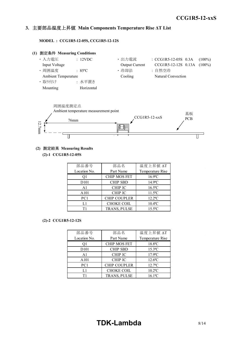#### *INSTRUCTION MANUAL* **3.** 主要部品温度上昇値 **Main Components Temperature Rise ΔT List**

**MODEL : CCG1R5-12-05S, CCG1R5-12-12S**





#### **(2)** 測定結果 **Measuring Results**

**(2)-1 CCG1R5-12-05S**

| 部品番号              | 部品名                 | 温度上昇值 ΔT              |  |  |  |
|-------------------|---------------------|-----------------------|--|--|--|
| Location No.      | Part Name           | Temperature Rise      |  |  |  |
| 01                | <b>CHIP MOS FET</b> | $16.9$ °C             |  |  |  |
| D <sub>10</sub> 1 | <b>CHIP SBD</b>     | $14.9^{\circ}$ C      |  |  |  |
| A <sub>1</sub>    | <b>CHIP IC</b>      | $16.5$ °C             |  |  |  |
| A101              | <b>CHIP IC</b>      | $11.5^{\circ}$ C      |  |  |  |
| PC <sub>1</sub>   | <b>CHIP COUPLER</b> | $12.2$ <sup>o</sup> C |  |  |  |
| L1                | <b>CHOKE COIL</b>   | $10.4$ <sup>o</sup> C |  |  |  |
| Τ1                | TRANS, PULSE        | $15.5^{\circ}$ C      |  |  |  |

#### **(2)-2 CCG1R5-12-12S**

| 部品番号              | 部品名                 | 温度上昇值 ΔT              |
|-------------------|---------------------|-----------------------|
| Location No.      | Part Name           | Temperature Rise      |
| Ο1                | <b>CHIP MOS FET</b> | 18.8°C                |
| D <sub>10</sub> 1 | <b>CHIP SBD</b>     | $15.3$ <sup>o</sup> C |
| A <sub>1</sub>    | <b>CHIP IC</b>      | $17.9$ °C             |
| A <sub>101</sub>  | <b>CHIP IC</b>      | $12.6^{\circ}$ C      |
| PC1               | CHIP COUPLER        | $12.7$ °C             |
| L1                | <b>CHOKE COIL</b>   | $10.2$ <sup>o</sup> C |
| Τ1                | TRANS, PULSE        | $16.1^{\circ}$ C      |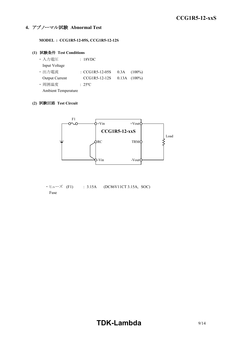### **4.** アブノーマル試験 **Abnormal Test**

**MODEL : CCG1R5-12-05S, CCG1R5-12-12S**

#### **(1)** 試験条件 **Test Conditions**

| ・入力電圧                      | : 18VDC           |                   |
|----------------------------|-------------------|-------------------|
| Input Voltage              |                   |                   |
| ・出力電流                      | : $CCG1R5-12-05S$ | $0.3A$ $(100\%)$  |
| Output Current             | $CCG1R5-12-12S$   | $0.13A$ $(100\%)$ |
| ・周囲温度                      | $: 25^{\circ}$ C  |                   |
| <b>Ambient Temperature</b> |                   |                   |

#### **(2)** 試験回路 **Test Circuit**



 $\cdot$  E $\pm$  - $\times$  (F1) : 3.15A (DC86V11CT 3.15A, SOC) Fuse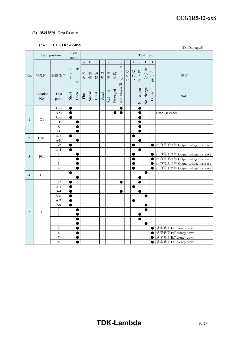#### **(3)** 試験結果 **Test Results**

## **(3)-1 CCG1R5-12-05S**

|                | (J)-1               | CCG1R5-12-055<br>(Da:Damaged)  |                    |                                                                             |          |              |             |         |                                                                                |             |                                                           |                                                 |                                           |                                   |           |                     |                                                                  |
|----------------|---------------------|--------------------------------|--------------------|-----------------------------------------------------------------------------|----------|--------------|-------------|---------|--------------------------------------------------------------------------------|-------------|-----------------------------------------------------------|-------------------------------------------------|-------------------------------------------|-----------------------------------|-----------|---------------------|------------------------------------------------------------------|
|                |                     | Test position                  |                    | Test<br>Test result<br>mode                                                 |          |              |             |         |                                                                                |             |                                                           |                                                 |                                           |                                   |           |                     |                                                                  |
|                |                     |                                |                    |                                                                             | $\rm{a}$ | $\rm b$      | $\mathbf c$ | $\rm d$ | $\mathbf{e}% _{B}=\mathbf{e}_{B}+\mathbf{e}_{B}+\mathbf{e}_{B}+\mathbf{e}_{B}$ | $\mathbf f$ | $\mathbf{g}$                                              | $\,$ h                                          | I                                         |                                   | k         |                     |                                                                  |
| No.            | 部品No.               | 試験端子                           | シ<br>$\equiv$<br>F | 才<br>$\begin{array}{c} \hline \end{array}$<br>プ<br>$\overline{\phantom{a}}$ |          | 発 発<br>火 煙 裂 |             | 破異赤     | 臭熱                                                                             | 破<br>損      | ヒ<br>ユ<br>$\begin{array}{c} \hline \end{array}$<br>ズ<br>断 | $\circ$<br>$\bar{\mathrm{V}}$<br>$\overline{P}$ | $\rm{O}$<br>$\mathbf C$<br>$\overline{P}$ | 出<br>力断                           | 変化なし      | そ<br>$\varphi$<br>他 | 記事                                                               |
|                | Location<br>No.     | Test<br>point                  | Short              | Open                                                                        | Fire     | Smoke        | Burst       | Smell   | Red hot                                                                        | Damaged     | Fuse blown                                                |                                                 |                                           | output<br>$\overline{\mathbf{a}}$ | No change | Others              | Note                                                             |
|                |                     | $D-S$                          | $\bullet$          |                                                                             |          |              |             |         |                                                                                |             | 0                                                         |                                                 |                                           | 0                                 |           |                     |                                                                  |
|                |                     | $\mathbf{D}\text{-}\mathbf{G}$ | $\bullet$          |                                                                             |          |              |             |         |                                                                                | Œ           | $\bullet$                                                 |                                                 |                                           | O                                 |           |                     | Da:A1,R35,SH1                                                    |
| $\mathbf{1}$   | Q1                  | $G-S$                          | ●                  |                                                                             |          |              |             |         |                                                                                |             |                                                           |                                                 |                                           | O                                 |           |                     |                                                                  |
|                |                     | D                              |                    | C                                                                           |          |              |             |         |                                                                                |             |                                                           |                                                 |                                           | Œ                                 |           |                     |                                                                  |
|                |                     | $\mathbf S$                    |                    | $\bullet$                                                                   |          |              |             |         |                                                                                |             |                                                           |                                                 |                                           | O                                 |           |                     |                                                                  |
|                |                     | ${\bf G}$                      |                    | $\bullet$                                                                   |          |              |             |         |                                                                                |             |                                                           |                                                 |                                           | $\bullet$                         |           |                     |                                                                  |
| 2              | D101                | $A-K$                          | ●                  |                                                                             |          |              |             |         |                                                                                |             |                                                           |                                                 | 0                                         |                                   |           |                     |                                                                  |
|                |                     | $A/K$                          |                    | 0                                                                           |          |              |             |         |                                                                                |             |                                                           |                                                 |                                           | O                                 |           |                     |                                                                  |
|                |                     | $1 - 2$                        | 0                  |                                                                             |          |              |             |         |                                                                                |             |                                                           |                                                 | O                                         |                                   |           | $\bullet$           | 出力電圧増加 Output voltage increase                                   |
|                |                     | $3 - 4$                        |                    |                                                                             |          |              |             |         |                                                                                |             |                                                           |                                                 |                                           | ●                                 |           |                     |                                                                  |
| 3              | PC1                 | 1<br>$\overline{2}$            |                    | 0                                                                           |          |              |             |         |                                                                                |             |                                                           |                                                 | Œ                                         |                                   |           | $\bullet$           | 出力電圧増加 Output voltage increase                                   |
|                |                     | 3                              |                    | O                                                                           |          |              |             |         |                                                                                |             |                                                           |                                                 |                                           |                                   |           | $\bullet$<br>●      | 出力電圧増加 Output voltage increase<br>出力電圧増加 Output voltage increase |
|                |                     | $\overline{4}$                 |                    | 0<br>0                                                                      |          |              |             |         |                                                                                |             |                                                           |                                                 | O<br>O                                    |                                   |           | $\bullet$           | 出力電圧増加 Output voltage increase                                   |
|                |                     |                                | $\bullet$          |                                                                             |          |              |             |         |                                                                                |             |                                                           |                                                 |                                           |                                   |           |                     |                                                                  |
| $\overline{4}$ | $\mathop{\rm L{1}}$ |                                |                    | 0                                                                           |          |              |             |         |                                                                                |             |                                                           |                                                 |                                           | ●                                 |           |                     |                                                                  |
|                |                     | $1 - 2$                        |                    |                                                                             |          |              |             |         |                                                                                |             | 0                                                         |                                                 |                                           | 0                                 |           |                     |                                                                  |
|                |                     | $2 - 3$                        | $\bullet$          |                                                                             |          |              |             |         |                                                                                |             |                                                           |                                                 | 0                                         |                                   |           |                     |                                                                  |
|                |                     | $3 - 4$                        |                    |                                                                             |          |              |             |         |                                                                                |             |                                                           |                                                 |                                           | O                                 |           |                     |                                                                  |
|                |                     | $5 - 6$                        | $\bullet$          |                                                                             |          |              |             |         |                                                                                |             |                                                           |                                                 |                                           |                                   | ●         |                     |                                                                  |
|                |                     | $6 - 7$                        | $\bullet$          |                                                                             |          |              |             |         |                                                                                |             |                                                           |                                                 | ●                                         |                                   |           |                     |                                                                  |
|                |                     | $7 - 8$                        | ●                  |                                                                             |          |              |             |         |                                                                                |             |                                                           |                                                 |                                           |                                   |           |                     |                                                                  |
|                |                     | $\mathbf{1}$                   |                    | ●                                                                           |          |              |             |         |                                                                                |             |                                                           |                                                 |                                           |                                   |           |                     |                                                                  |
| 5              | T <sub>1</sub>      | $\overline{c}$                 |                    | $\bullet$                                                                   |          |              |             |         |                                                                                |             |                                                           |                                                 |                                           | $\bullet$                         |           |                     |                                                                  |
|                |                     | 3                              |                    | ●                                                                           |          |              |             |         |                                                                                |             |                                                           |                                                 |                                           | $\bullet$                         |           |                     |                                                                  |
|                |                     | $\overline{\mathcal{A}}$       |                    | O                                                                           |          |              |             |         |                                                                                |             |                                                           |                                                 |                                           |                                   |           |                     |                                                                  |
|                |                     | 5                              |                    | ●                                                                           |          |              |             |         |                                                                                |             |                                                           |                                                 |                                           |                                   |           | $\bullet$           | 効率低下 Efficiency down                                             |
|                |                     | 6                              |                    | $\bullet$                                                                   |          |              |             |         |                                                                                |             |                                                           |                                                 |                                           |                                   |           | $\bullet$           | 効率低下 Efficiency down                                             |
|                |                     | $\overline{7}$                 |                    | ●                                                                           |          |              |             |         |                                                                                |             |                                                           |                                                 |                                           |                                   |           |                     | 効率低下 Efficiency down                                             |
|                |                     | $\,8\,$                        |                    | $\bullet$                                                                   |          |              |             |         |                                                                                |             |                                                           |                                                 |                                           |                                   |           | $\bullet$           | 効率低下 Efficiency down                                             |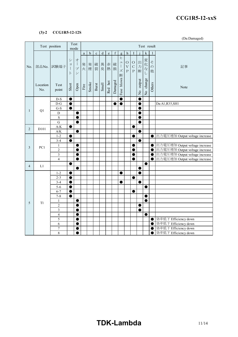#### **(3)-2 CCG1R5-12-12S**

(Da:Damaged)

|                |                 | Test position           |                                               | Test<br>Test result<br>mode                                    |                       |             |             |         |                                                                                |         |                                   |                                                   |                                           |                         |             |                     |                                |
|----------------|-----------------|-------------------------|-----------------------------------------------|----------------------------------------------------------------|-----------------------|-------------|-------------|---------|--------------------------------------------------------------------------------|---------|-----------------------------------|---------------------------------------------------|-------------------------------------------|-------------------------|-------------|---------------------|--------------------------------|
|                |                 |                         |                                               |                                                                | $\rm{a}$              | $\mathbf b$ | $\mathbf c$ | $\rm d$ | $\mathbf{e}% _{B}=\mathbf{e}_{B}+\mathbf{e}_{B}+\mathbf{e}_{B}+\mathbf{e}_{B}$ | f       | $\mathbf{g}$                      | $\boldsymbol{\mathrm{h}}$                         | I                                         |                         | $\mathbf k$ |                     |                                |
| No.            | 部品No.           | 試験端子                    | シ<br>$\equiv$<br>$\left  \right $<br>$\vdash$ | 才<br>$\overline{\phantom{a}}$<br>プ<br>$\overline{\phantom{a}}$ | 発                     | 発<br>火煙     | 破裂          | 異<br>臭  | 赤<br>熱                                                                         | 破<br>損  | E<br>ユ<br>$\mathcal{I}$<br>ズ<br>断 | $\mathcal O$<br>$\bar{\mathrm{V}}$<br>$\mathbf P$ | $\mathcal O$<br>$\overline{C}$<br>$\rm P$ | 出<br>力<br>断             | 変化なし        | そ<br>$\varphi$<br>他 | 記事                             |
|                | Location<br>No. | Test<br>point           | Short                                         | Open                                                           | $\operatorname{Fire}$ | Smoke       | Burst       | Smell   | Red hot                                                                        | Damaged | Fuse blown                        |                                                   |                                           | output<br>$\frac{1}{2}$ | No change   | Others              | Note                           |
|                |                 | $D-S$                   | $\bullet$                                     |                                                                |                       |             |             |         |                                                                                |         | 0                                 |                                                   |                                           | e                       |             |                     |                                |
|                |                 | $D-G$                   | $\bullet$                                     |                                                                |                       |             |             |         |                                                                                |         | 0                                 |                                                   |                                           | C                       |             |                     | Da:A1,R35,SH1                  |
| $\mathbf{1}$   | Q1              | $G-S$                   | $\bullet$                                     |                                                                |                       |             |             |         |                                                                                |         |                                   |                                                   |                                           | C                       |             |                     |                                |
|                |                 | D                       |                                               | $\bullet$                                                      |                       |             |             |         |                                                                                |         |                                   |                                                   |                                           |                         |             |                     |                                |
|                |                 | S<br>$\overline{G}$     |                                               |                                                                |                       |             |             |         |                                                                                |         |                                   |                                                   |                                           | Œ                       |             |                     |                                |
|                |                 | $A-K$                   | ●                                             |                                                                |                       |             |             |         |                                                                                |         |                                   |                                                   | ●                                         |                         |             |                     |                                |
| $\overline{2}$ | D101            | $\mathbf{A/K}$          |                                               | ●                                                              |                       |             |             |         |                                                                                |         |                                   |                                                   |                                           | C                       |             |                     |                                |
|                |                 | $1 - 2$                 | O                                             |                                                                |                       |             |             |         |                                                                                |         |                                   |                                                   |                                           |                         |             | $\bullet$           | 出力電圧増加 Output voltage increase |
|                |                 | $3 - 4$                 | ●                                             |                                                                |                       |             |             |         |                                                                                |         |                                   |                                                   |                                           | C                       |             |                     |                                |
| 3              | PC1             | $\mathbf{1}$            |                                               |                                                                |                       |             |             |         |                                                                                |         |                                   |                                                   |                                           |                         |             | $\bullet$           | 出力電圧増加 Output voltage increase |
|                |                 | $\overline{2}$          |                                               | ●                                                              |                       |             |             |         |                                                                                |         |                                   |                                                   |                                           |                         |             | 0                   | 出力電圧増加 Output voltage increase |
|                |                 | 3                       |                                               |                                                                |                       |             |             |         |                                                                                |         |                                   |                                                   |                                           |                         |             | $\bullet$           | 出力電圧増加 Output voltage increase |
|                |                 | $\overline{4}$          |                                               | O                                                              |                       |             |             |         |                                                                                |         |                                   |                                                   |                                           |                         |             | $\bullet$           | 出力電圧増加 Output voltage increase |
| $\overline{4}$ | L1              |                         |                                               |                                                                |                       |             |             |         |                                                                                |         |                                   |                                                   |                                           |                         |             |                     |                                |
|                |                 |                         |                                               | $\bullet$                                                      |                       |             |             |         |                                                                                |         |                                   |                                                   |                                           | C                       |             |                     |                                |
|                |                 | $1 - 2$                 | Œ                                             |                                                                |                       |             |             |         |                                                                                |         | 0                                 |                                                   |                                           | О                       |             |                     |                                |
|                |                 | $2 - 3$<br>$3 - 4$      | $\blacksquare$                                |                                                                |                       |             |             |         |                                                                                |         |                                   |                                                   | O                                         | e                       |             |                     |                                |
|                |                 | $5 - 6$                 |                                               |                                                                |                       |             |             |         |                                                                                |         |                                   |                                                   |                                           |                         |             |                     |                                |
|                |                 | $6 - 7$                 | 0                                             |                                                                |                       |             |             |         |                                                                                |         |                                   |                                                   | e                                         |                         |             |                     |                                |
|                |                 | $7 - 8$                 | $\bullet$                                     |                                                                |                       |             |             |         |                                                                                |         |                                   |                                                   |                                           |                         | ●           |                     |                                |
|                |                 | 1                       |                                               |                                                                |                       |             |             |         |                                                                                |         |                                   |                                                   |                                           |                         | e           |                     |                                |
| 5              | T <sub>1</sub>  | $\overline{c}$          |                                               |                                                                |                       |             |             |         |                                                                                |         |                                   |                                                   |                                           | O                       |             |                     |                                |
|                |                 | $\overline{3}$          |                                               | ●                                                              |                       |             |             |         |                                                                                |         |                                   |                                                   |                                           | $\bullet$               |             |                     |                                |
|                |                 | $\overline{\mathbf{4}}$ |                                               |                                                                |                       |             |             |         |                                                                                |         |                                   |                                                   |                                           |                         | ●           |                     |                                |
|                |                 | 5                       |                                               |                                                                |                       |             |             |         |                                                                                |         |                                   |                                                   |                                           |                         |             | $\bullet$           | 効率低下 Efficiency down           |
|                |                 | 6                       |                                               |                                                                |                       |             |             |         |                                                                                |         |                                   |                                                   |                                           |                         |             | C                   | 効率低下 Efficiency down           |
|                |                 | $\overline{7}$          |                                               |                                                                |                       |             |             |         |                                                                                |         |                                   |                                                   |                                           |                         |             | C                   | 効率低下 Efficiency down           |
|                |                 | 8                       |                                               |                                                                |                       |             |             |         |                                                                                |         |                                   |                                                   |                                           |                         |             | e                   | 効率低下 Efficiency down           |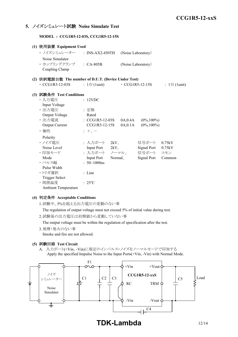### **5.** ノイズシミュレート試験 **Noise Simulate Test**

**MODEL : CCG1R5-12-03S, CCG1R5-12-15S**

|  | (1) 使用装置 Equipment Used                             |  |                              |         |                    |                       |                              |
|--|-----------------------------------------------------|--|------------------------------|---------|--------------------|-----------------------|------------------------------|
|  | ・ ノイズシミュレーター ___ : INS-AX2-450TH                    |  |                              |         | (Noise Laboratory) |                       |                              |
|  | Noise Simulator                                     |  |                              |         |                    |                       |                              |
|  | · カップリングクランプ : CA-805B                              |  |                              |         | (Noise Laboratory) |                       |                              |
|  | Coupling Clamp                                      |  |                              |         |                    |                       |                              |
|  | (2) 供試電源台数 The number of D.U.T. (Device Under Test) |  |                              |         |                    |                       |                              |
|  | $\cdot$ CCG1R5-12-03S                               |  | : $1 \oplus (1 \text{unit})$ |         |                    | $\cdot$ CCG1R5-12-15S | : $1 \oplus (1 \text{unit})$ |
|  | (3) 試験条件 Test Conditions                            |  |                              |         |                    |                       |                              |
|  | ・入力電圧                                               |  | : 12VDC                      |         |                    |                       |                              |
|  | Input Voltage                                       |  |                              |         |                    |                       |                              |
|  | ・出力電圧                                               |  | : 定格                         |         |                    |                       |                              |
|  | Output Voltage                                      |  | Rated                        |         |                    |                       |                              |
|  | · 出力電流                                              |  | $\therefore$ CCG1R5-12-03S   |         | 0A,0.4A            | $(0\%, 100\%)$        |                              |
|  | <b>Output Current</b>                               |  | CCG1R5-12-15S                |         | 0A, 0.1A           | $(0\%, 100\%)$        |                              |
|  | ・極性                                                 |  | $+$ , $-$                    |         |                    |                       |                              |
|  | Polarity                                            |  |                              |         |                    |                       |                              |
|  | ・ノイズ電圧                                              |  | : 入力ポート                      | 2kV     |                    | 信号ポート                 | 0.75kV                       |
|  | Noise Level                                         |  | Input Port 2kV,              |         |                    | Signal Port           | 0.75kV                       |
|  | ・印加モード                                              |  | : 入力ポート ノーマル、                |         |                    | 信号ポート                 | コモン                          |
|  | Mode                                                |  | <b>Input Port</b>            | Normal, |                    | Signal Port           | Common                       |
|  | ・パルス幅                                               |  | $: 50 - 1000$ ns             |         |                    |                       |                              |
|  | Pulse Width                                         |  |                              |         |                    |                       |                              |
|  | ・トリガ選択                                              |  | : Line                       |         |                    |                       |                              |
|  | <b>Trigger Select</b>                               |  |                              |         |                    |                       |                              |
|  | ·周囲温度                                               |  | $: 25^{\circ}C$              |         |                    |                       |                              |
|  | Ambient Temperature                                 |  |                              |         |                    |                       |                              |

#### **(4)** 判定条件 **Acceptable Conditions**

1.試験中、5%を超える出力電圧の変動のない事

The regulation of output voltage must not exceed 5% of initial value during test.

2.試験後の出力電圧は初期値から変動していない事

The output voltage must be within the regulation of specification after the test.

3.発煙・発火のない事

Smoke and fire are not allowed.

#### **(5)** 試験回路 **Test Circuit**

A. 入力ポート(+Vin、-Vin)に規定のインパルス・ノイズをノーマルモードで印加する Apply the specified Impulse Noise to the Input Ports(+Vin, -Vin) with Normal Mode.

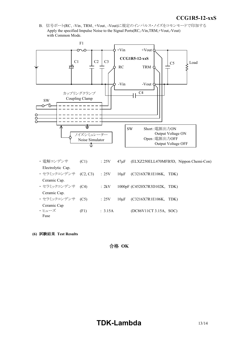*INSTRUCTION MANUAL* B. 信号ポート(RC、-Vin、TRM、+Vout、-Vout)に規定のインパルス・ノイズをコモンモードで印加する Apply the specified Impulse Noise to the Signal Ports(RC,-Vin,TRM,+Vout,-Vout) with Common Mode.



- ・ 電解コンデンサ (C1) : 25V 47μF (ELXZ250ELL470MFB5D, Nippon Chemi-Con) Electrolytic Cap. ・ セラミックコンデンサ (C2, C3) : 25V 10μF (C3216X7R1E106K, TDK) Ceramic Cap. ・ セラミックコンデンサ (C4) : 2kV 1000pF (C4520X7R3D102K, TDK) Ceramic Cap. ・ セラミックコンデンサ (C5) : 25V 10μF (C3216X7R1E106K, TDK) Ceramic Cap  $\cdot$  ヒューズ (F1) : 3.15A (DC86V11CT 3.15A, SOC) Fuse
- **(6)** 試験結果 **Test Results**

合格 **OK**